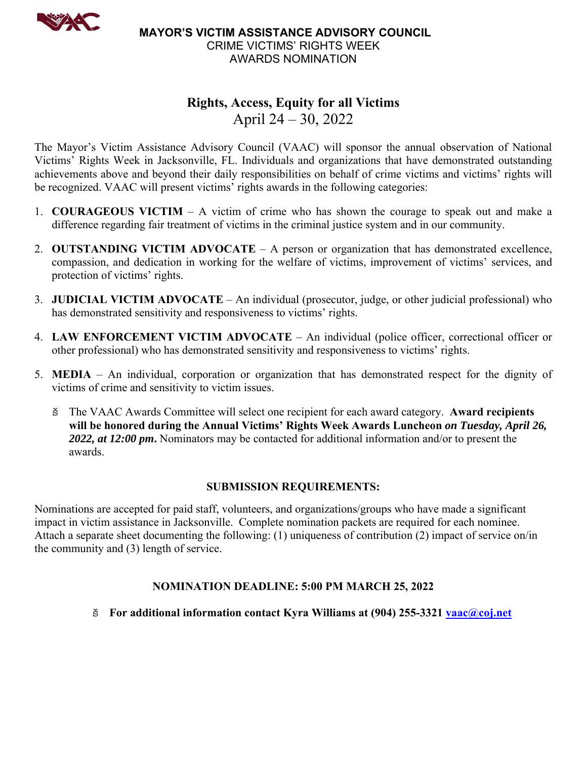

 **MAYOR'S VICTIM ASSISTANCE ADVISORY COUNCIL** CRIME VICTIMS' RIGHTS WEEK AWARDS NOMINATION

# **Rights, Access, Equity for all Victims**  April 24 – 30, 2022

The Mayor's Victim Assistance Advisory Council (VAAC) will sponsor the annual observation of National Victims' Rights Week in Jacksonville, FL. Individuals and organizations that have demonstrated outstanding achievements above and beyond their daily responsibilities on behalf of crime victims and victims' rights will be recognized. VAAC will present victims' rights awards in the following categories:

- 1. **COURAGEOUS VICTIM**  A victim of crime who has shown the courage to speak out and make a difference regarding fair treatment of victims in the criminal justice system and in our community.
- 2. **OUTSTANDING VICTIM ADVOCATE**  A person or organization that has demonstrated excellence, compassion, and dedication in working for the welfare of victims, improvement of victims' services, and protection of victims' rights.
- 3. **JUDICIAL VICTIM ADVOCATE**  An individual (prosecutor, judge, or other judicial professional) who has demonstrated sensitivity and responsiveness to victims' rights.
- 4. **LAW ENFORCEMENT VICTIM ADVOCATE** An individual (police officer, correctional officer or other professional) who has demonstrated sensitivity and responsiveness to victims' rights.
- 5. **MEDIA**  An individual, corporation or organization that has demonstrated respect for the dignity of victims of crime and sensitivity to victim issues.
	- The VAAC Awards Committee will select one recipient for each award category. **Award recipients will be honored during the Annual Victims' Rights Week Awards Luncheon** *on Tuesday, April 26, 2022, at 12:00 pm***.** Nominators may be contacted for additional information and/or to present the awards.

### **SUBMISSION REQUIREMENTS:**

Nominations are accepted for paid staff, volunteers, and organizations/groups who have made a significant impact in victim assistance in Jacksonville. Complete nomination packets are required for each nominee. Attach a separate sheet documenting the following: (1) uniqueness of contribution (2) impact of service on/in the community and (3) length of service.

## **NOMINATION DEADLINE: 5:00 PM MARCH 25, 2022**

**For additional information contact Kyra Williams at (904) 255-3321 vaac@coj.net**